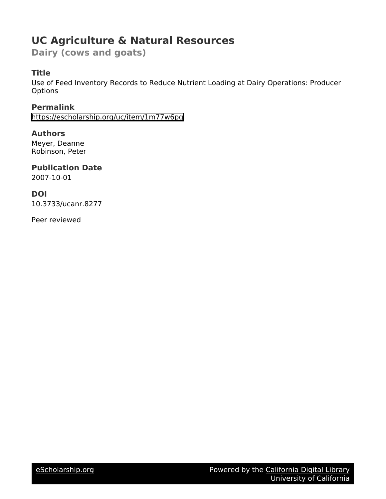# **UC Agriculture & Natural Resources**

**Dairy (cows and goats)**

# **Title**

Use of Feed Inventory Records to Reduce Nutrient Loading at Dairy Operations: Producer **Options** 

**Permalink** <https://escholarship.org/uc/item/1m77w6pg>

# **Authors**

Meyer, Deanne Robinson, Peter

# **Publication Date**

2007-10-01

# **DOI**

10.3733/ucanr.8277

Peer reviewed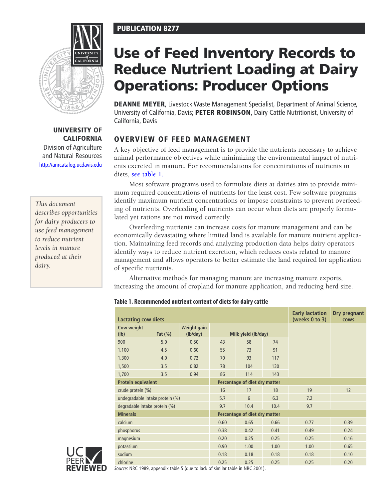# PUBLICATION 8277



## UNIVERSITY OF **CALIFORNIA**

Division of Agriculture and Natural Resources <http://anrcatalog.ucdavis.edu>

# *This document describes opportunities for dairy producers to use feed management to reduce nutrient levels in manure produced at their dairy.*

# Use of Feed Inventory Records to Reduce Nutrient Loading at Dairy Operations: Producer Options

**DEANNE MEYER, Livestock Waste Management Specialist, Department of Animal Science,** University of California, Davis; PETER ROBINSON, Dairy Cattle Nutritionist, University of California, Davis

# Overview of Feed Management

A key objective of feed management is to provide the nutrients necessary to achieve animal performance objectives while minimizing the environmental impact of nutrients excreted in manure. For recommendations for concentrations of nutrients in diets, see table 1.

Most software programs used to formulate diets at dairies aim to provide minimum required concentrations of nutrients for the least cost. Few software programs identify maximum nutrient concentrations or impose constraints to prevent overfeeding of nutrients. Overfeeding of nutrients can occur when diets are properly formulated yet rations are not mixed correctly.

Overfeeding nutrients can increase costs for manure management and can be economically devastating where limited land is available for manure nutrient application. Maintaining feed records and analyzing production data helps dairy operators identify ways to reduce nutrient excretion, which reduces costs related to manure management and allows operators to better estimate the land required for application of specific nutrients.

Alternative methods for managing manure are increasing manure exports, increasing the amount of cropland for manure application, and reducing herd size.

## **Table 1. Recommended nutrient content of diets for dairy cattle**

| <b>Early lactation</b><br><b>Dry pregnant</b><br><b>Lactating cow diets</b><br>(weeks 0 to 3)<br><b>COWS</b> |             |                         |                               |      |      |      |      |  |
|--------------------------------------------------------------------------------------------------------------|-------------|-------------------------|-------------------------------|------|------|------|------|--|
| Cow weight<br>(lb)                                                                                           | Fat $(\% )$ | Weight gain<br>(lb/day) | Milk yield (lb/day)           |      |      |      |      |  |
| 900                                                                                                          | 5.0         | 0.50                    | 43                            | 58   | 74   |      |      |  |
| 1,100                                                                                                        | 4.5         | 0.60                    | 55                            | 73   | 91   |      |      |  |
| 1,300                                                                                                        | 4.0         | 0.72                    | 70                            | 93   | 117  |      |      |  |
| 1,500                                                                                                        | 3.5         | 0.82                    | 78                            | 104  | 130  |      |      |  |
| 1,700                                                                                                        | 3.5         | 0.94                    | 86                            | 114  | 143  |      |      |  |
| <b>Protein equivalent</b>                                                                                    |             |                         | Percentage of diet dry matter |      |      |      |      |  |
| crude protein (%)                                                                                            |             |                         | 16                            | 17   | 18   | 19   | 12   |  |
| undegradable intake protein (%)                                                                              |             |                         | 5.7                           | 6    | 6.3  | 7.2  |      |  |
| degradable intake protein (%)                                                                                |             |                         | 9.7                           | 10.4 | 10.4 | 9.7  |      |  |
| <b>Minerals</b>                                                                                              |             |                         | Percentage of diet dry matter |      |      |      |      |  |
| calcium                                                                                                      |             |                         | 0.60                          | 0.65 | 0.66 | 0.77 | 0.39 |  |
| phosphorus                                                                                                   |             |                         | 0.38                          | 0.42 | 0.41 | 0.49 | 0.24 |  |
| magnesium                                                                                                    |             |                         | 0.20                          | 0.25 | 0.25 | 0.25 | 0.16 |  |
| potassium                                                                                                    |             |                         | 0.90                          | 1.00 | 1.00 | 1.00 | 0.65 |  |
| sodium                                                                                                       |             |                         | 0.18                          | 0.18 | 0.18 | 0.18 | 0.10 |  |
| chlorine                                                                                                     |             |                         | 0.25                          | 0.25 | 0.25 | 0.25 | 0.20 |  |



*Source:* NRC 1989, appendix table 5 (due to lack of similar table in NRC 2001).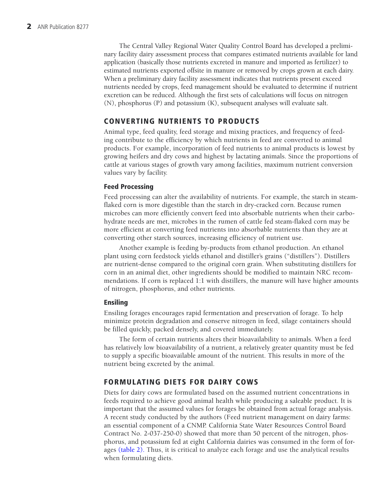The Central Valley Regional Water Quality Control Board has developed a preliminary facility dairy assessment process that compares estimated nutrients available for land application (basically those nutrients excreted in manure and imported as fertilizer) to estimated nutrients exported offsite in manure or removed by crops grown at each dairy. When a preliminary dairy facility assessment indicates that nutrients present exceed nutrients needed by crops, feed management should be evaluated to determine if nutrient excretion can be reduced. Although the first sets of calculations will focus on nitrogen (N), phosphorus (P) and potassium (K), subsequent analyses will evaluate salt.

# Converting nutrients to products

Animal type, feed quality, feed storage and mixing practices, and frequency of feeding contribute to the efficiency by which nutrients in feed are converted to animal products. For example, incorporation of feed nutrients to animal products is lowest by growing heifers and dry cows and highest by lactating animals. Since the proportions of cattle at various stages of growth vary among facilities, maximum nutrient conversion values vary by facility.

## Feed Processing

Feed processing can alter the availability of nutrients. For example, the starch in steamflaked corn is more digestible than the starch in dry-cracked corn. Because rumen microbes can more efficiently convert feed into absorbable nutrients when their carbohydrate needs are met, microbes in the rumen of cattle fed steam-flaked corn may be more efficient at converting feed nutrients into absorbable nutrients than they are at converting other starch sources, increasing efficiency of nutrient use.

Another example is feeding by-products from ethanol production. An ethanol plant using corn feedstock yields ethanol and distiller's grains ("distillers"). Distillers are nutrient-dense compared to the original corn grain. When substituting distillers for corn in an animal diet, other ingredients should be modified to maintain NRC recommendations. If corn is replaced 1:1 with distillers, the manure will have higher amounts of nitrogen, phosphorus, and other nutrients.

### Ensiling

Ensiling forages encourages rapid fermentation and preservation of forage. To help minimize protein degradation and conserve nitrogen in feed, silage containers should be filled quickly, packed densely, and covered immediately.

The form of certain nutrients alters their bioavailability to animals. When a feed has relatively low bioavailability of a nutrient, a relatively greater quantity must be fed to supply a specific bioavailable amount of the nutrient. This results in more of the nutrient being excreted by the animal.

# Formulating diets for dairy cows

Diets for dairy cows are formulated based on the assumed nutrient concentrations in feeds required to achieve good animal health while producing a saleable product. It is important that the assumed values for forages be obtained from actual forage analysis. A recent study conducted by the authors (Feed nutrient management on dairy farms: an essential component of a CNMP. California State Water Resources Control Board Contract No. 2-037-250-0) showed that more than 50 percent of the nitrogen, phosphorus, and potassium fed at eight California dairies was consumed in the form of forages (table 2). Thus, it is critical to analyze each forage and use the analytical results when formulating diets.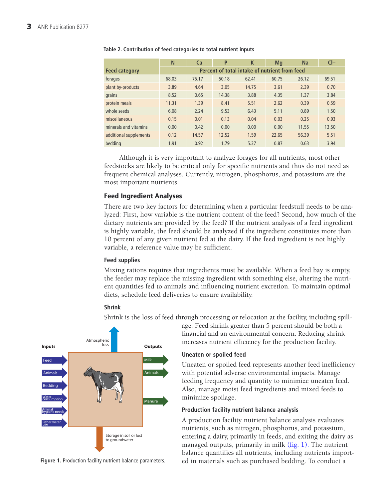|                        | N                                             | Ca    | P     | K     | Mq    | <b>Na</b> | $Cl-$ |
|------------------------|-----------------------------------------------|-------|-------|-------|-------|-----------|-------|
| <b>Feed category</b>   | Percent of total intake of nutrient from feed |       |       |       |       |           |       |
| forages                | 68.03                                         | 75.17 | 50.18 | 62.41 | 60.75 | 26.12     | 69.51 |
| plant by-products      | 3.89                                          | 4.64  | 3.05  | 14.75 | 3.61  | 2.39      | 0.70  |
| grains                 | 8.52                                          | 0.65  | 14.38 | 3.88  | 4.35  | 1.37      | 3.84  |
| protein meals          | 11.31                                         | 1.39  | 8.41  | 5.51  | 2.62  | 0.39      | 0.59  |
| whole seeds            | 6.08                                          | 2.24  | 9.53  | 6.43  | 5.11  | 0.89      | 1.50  |
| miscellaneous          | 0.15                                          | 0.01  | 0.13  | 0.04  | 0.03  | 0.25      | 0.93  |
| minerals and vitamins  | 0.00                                          | 0.42  | 0.00  | 0.00  | 0.00  | 11.55     | 13.50 |
| additional supplements | 0.12                                          | 14.57 | 12.52 | 1.59  | 22.65 | 56.39     | 5.51  |
| bedding                | 1.91                                          | 0.92  | 1.79  | 5.37  | 0.87  | 0.63      | 3.94  |

#### **Table 2. Contribution of feed categories to total nutrient inputs**

Although it is very important to analyze forages for all nutrients, most other feedstocks are likely to be critical only for specific nutrients and thus do not need as frequent chemical analyses. Currently, nitrogen, phosphorus, and potassium are the most important nutrients.

### Feed Ingredient Analyses

There are two key factors for determining when a particular feedstuff needs to be analyzed: First, how variable is the nutrient content of the feed? Second, how much of the dietary nutrients are provided by the feed? If the nutrient analysis of a feed ingredient is highly variable, the feed should be analyzed if the ingredient constitutes more than 10 percent of any given nutrient fed at the dairy. If the feed ingredient is not highly variable, a reference value may be sufficient.

#### **Feed supplies**

Mixing rations requires that ingredients must be available. When a feed bay is empty, the feeder may replace the missing ingredient with something else, altering the nutrient quantities fed to animals and influencing nutrient excretion. To maintain optimal diets, schedule feed deliveries to ensure availability.

#### **Shrink**

Shrink is the loss of feed through processing or relocation at the facility, including spill-



**Figure 1.** Production facility nutrient balance parameters.

age. Feed shrink greater than 5 percent should be both a financial and an environmental concern. Reducing shrink increases nutrient efficiency for the production facility.

#### **Uneaten or spoiled feed**

Uneaten or spoiled feed represents another feed inefficiency with potential adverse environmental impacts. Manage feeding frequency and quantity to minimize uneaten feed. Also, manage moist feed ingredients and mixed feeds to minimize spoilage.

#### **Production facility nutrient balance analysis**

A production facility nutrient balance analysis evaluates nutrients, such as nitrogen, phosphorus, and potassium, entering a dairy, primarily in feeds, and exiting the dairy as managed outputs, primarily in milk (fig. 1). The nutrient balance quantifies all nutrients, including nutrients imported in materials such as purchased bedding. To conduct a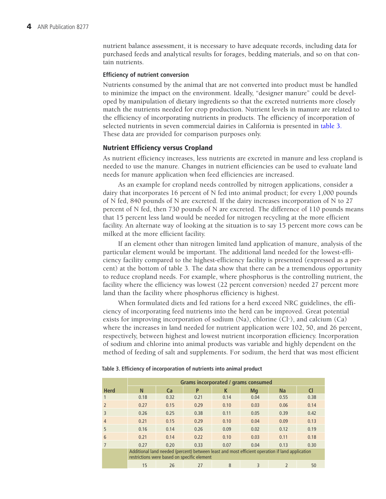nutrient balance assessment, it is necessary to have adequate records, including data for purchased feeds and analytical results for forages, bedding materials, and so on that contain nutrients.

#### **Efficiency of nutrient conversion**

Nutrients consumed by the animal that are not converted into product must be handled to minimize the impact on the environment. Ideally, "designer manure" could be developed by manipulation of dietary ingredients so that the excreted nutrients more closely match the nutrients needed for crop production. Nutrient levels in manure are related to the efficiency of incorporating nutrients in products. The efficiency of incorporation of selected nutrients in seven commercial dairies in California is presented in table 3. These data are provided for comparison purposes only.

#### Nutrient Efficiency versus Cropland

As nutrient efficiency increases, less nutrients are excreted in manure and less cropland is needed to use the manure. Changes in nutrient efficiencies can be used to evaluate land needs for manure application when feed efficiencies are increased.

As an example for cropland needs controlled by nitrogen applications, consider a dairy that incorporates 16 percent of N fed into animal product; for every 1,000 pounds of N fed, 840 pounds of N are excreted. If the dairy increases incorporation of N to 27 percent of N fed, then 730 pounds of N are excreted. The difference of 110 pounds means that 15 percent less land would be needed for nitrogen recycling at the more efficient facility. An alternate way of looking at the situation is to say 15 percent more cows can be milked at the more efficient facility.

If an element other than nitrogen limited land application of manure, analysis of the particular element would be important. The additional land needed for the lowest-efficiency facility compared to the highest-efficiency facility is presented (expressed as a percent) at the bottom of table 3. The data show that there can be a tremendous opportunity to reduce cropland needs. For example, where phosphorus is the controlling nutrient, the facility where the efficiency was lowest (22 percent conversion) needed 27 percent more land than the facility where phosphorus efficiency is highest.

When formulated diets and fed rations for a herd exceed NRC guidelines, the efficiency of incorporating feed nutrients into the herd can be improved. Great potential exists for improving incorporation of sodium  $(Na)$ , chlorine  $(Cl<sub>2</sub>)$ , and calcium  $(Ca)$ where the increases in land needed for nutrient application were 102, 50, and 26 percent, respectively, between highest and lowest nutrient incorporation efficiency. Incorporation of sodium and chlorine into animal products was variable and highly dependent on the method of feeding of salt and supplements. For sodium, the herd that was most efficient

|                | Grams incorporated / grams consumed                                                                                                            |           |      |      |      |                |      |  |
|----------------|------------------------------------------------------------------------------------------------------------------------------------------------|-----------|------|------|------|----------------|------|--|
| <b>Herd</b>    | N                                                                                                                                              | <b>Ca</b> | P    | K    | Mq   | Na             | CI   |  |
| 1              | 0.18                                                                                                                                           | 0.32      | 0.21 | 0.14 | 0.04 | 0.55           | 0.38 |  |
| $\overline{2}$ | 0.27                                                                                                                                           | 0.15      | 0.29 | 0.10 | 0.03 | 0.06           | 0.14 |  |
| 3              | 0.26                                                                                                                                           | 0.25      | 0.38 | 0.11 | 0.05 | 0.39           | 0.42 |  |
| $\overline{4}$ | 0.21                                                                                                                                           | 0.15      | 0.29 | 0.10 | 0.04 | 0.09           | 0.13 |  |
| 5              | 0.16                                                                                                                                           | 0.14      | 0.26 | 0.09 | 0.02 | 0.12           | 0.19 |  |
| 6              | 0.21                                                                                                                                           | 0.14      | 0.22 | 0.10 | 0.03 | 0.11           | 0.18 |  |
| $\overline{7}$ | 0.27                                                                                                                                           | 0.20      | 0.33 | 0.07 | 0.04 | 0.13           | 0.30 |  |
|                | Additional land needed (percent) between least and most efficient operation if land application<br>restrictions were based on specific element |           |      |      |      |                |      |  |
|                | 15                                                                                                                                             | 26        | 27   | 8    | 3    | $\mathfrak{p}$ | 50   |  |

#### **Table 3. Efficiency of incorporation of nutrients into animal product**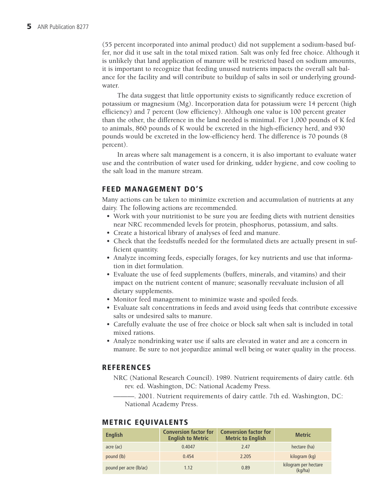(55 percent incorporated into animal product) did not supplement a sodium-based buffer, nor did it use salt in the total mixed ration. Salt was only fed free choice. Although it is unlikely that land application of manure will be restricted based on sodium amounts, it is important to recognize that feeding unused nutrients impacts the overall salt balance for the facility and will contribute to buildup of salts in soil or underlying groundwater.

The data suggest that little opportunity exists to significantly reduce excretion of potassium or magnesium (Mg). Incorporation data for potassium were 14 percent (high efficiency) and 7 percent (low efficiency). Although one value is 100 percent greater than the other, the difference in the land needed is minimal. For 1,000 pounds of K fed to animals, 860 pounds of K would be excreted in the high-efficiency herd, and 930 pounds would be excreted in the low-efficiency herd. The difference is 70 pounds (8 percent).

In areas where salt management is a concern, it is also important to evaluate water use and the contribution of water used for drinking, udder hygiene, and cow cooling to the salt load in the manure stream.

# Feed management do's

Many actions can be taken to minimize excretion and accumulation of nutrients at any dairy. The following actions are recommended.

- Work with your nutritionist to be sure you are feeding diets with nutrient densities near NRC recommended levels for protein, phosphorus, potassium, and salts.
- Create a historical library of analyses of feed and manure.
- Check that the feedstuffs needed for the formulated diets are actually present in sufficient quantity.
- Analyze incoming feeds, especially forages, for key nutrients and use that information in diet formulation.
- Evaluate the use of feed supplements (buffers, minerals, and vitamins) and their impact on the nutrient content of manure; seasonally reevaluate inclusion of all dietary supplements.
- Monitor feed management to minimize waste and spoiled feeds.
- Evaluate salt concentrations in feeds and avoid using feeds that contribute excessive salts or undesired salts to manure.
- Carefully evaluate the use of free choice or block salt when salt is included in total mixed rations.
- Analyze nondrinking water use if salts are elevated in water and are a concern in manure. Be sure to not jeopardize animal well being or water quality in the process.

## **REFERENCES**

- NRC (National Research Council). 1989. Nutrient requirements of dairy cattle. 6th rev. ed. Washington, DC: National Academy Press.
	- ———. 2001. Nutrient requirements of dairy cattle. 7th ed. Washington, DC: National Academy Press.

## Metric Equivalents

| <b>English</b>         | <b>Conversion factor for</b><br><b>English to Metric</b> | <b>Conversion factor for</b><br><b>Metric to English</b> | <b>Metric</b>                   |
|------------------------|----------------------------------------------------------|----------------------------------------------------------|---------------------------------|
| acre (ac)              | 0.4047                                                   | 2.47                                                     | hectare (ha)                    |
| pound (lb)             | 0.454                                                    | 2.205                                                    | kilogram (kg)                   |
| pound per acre (lb/ac) | 1.12                                                     | 0.89                                                     | kilogram per hectare<br>(kq/ha) |